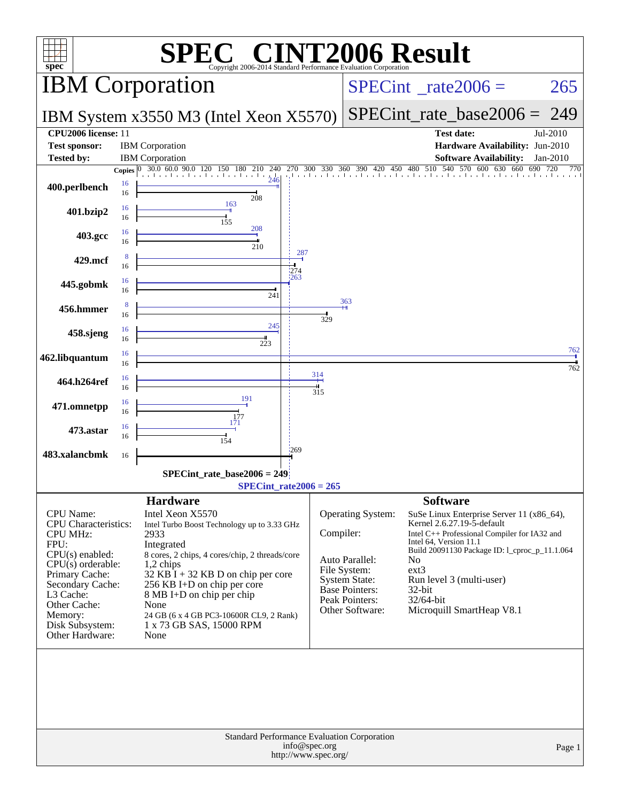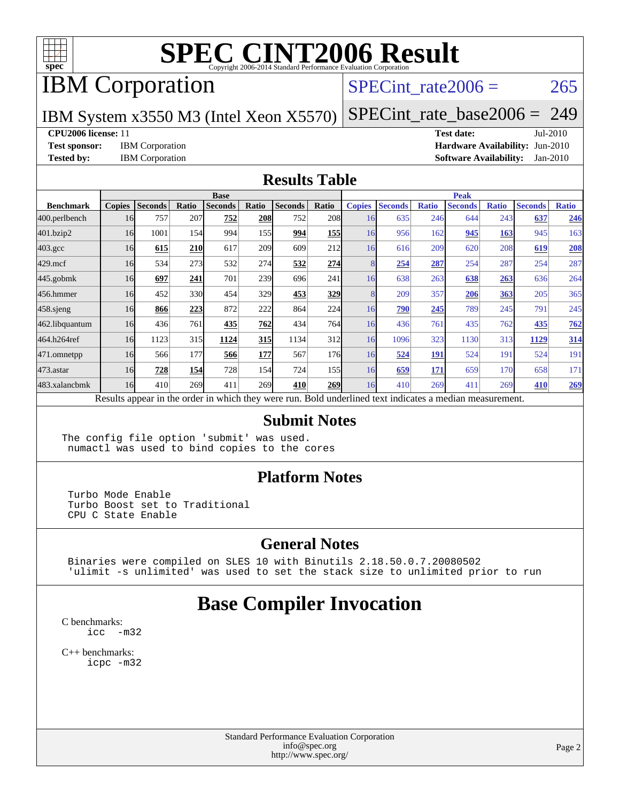

## IBM Corporation

#### SPECint rate $2006 = 265$

IBM System x3550 M3 (Intel Xeon X5570)

[SPECint\\_rate\\_base2006 =](http://www.spec.org/auto/cpu2006/Docs/result-fields.html#SPECintratebase2006) 249

#### **[CPU2006 license:](http://www.spec.org/auto/cpu2006/Docs/result-fields.html#CPU2006license)** 11 **[Test date:](http://www.spec.org/auto/cpu2006/Docs/result-fields.html#Testdate)** Jul-2010

**[Test sponsor:](http://www.spec.org/auto/cpu2006/Docs/result-fields.html#Testsponsor)** IBM Corporation **[Hardware Availability:](http://www.spec.org/auto/cpu2006/Docs/result-fields.html#HardwareAvailability)** Jun-2010 **[Tested by:](http://www.spec.org/auto/cpu2006/Docs/result-fields.html#Testedby)** IBM Corporation **[Software Availability:](http://www.spec.org/auto/cpu2006/Docs/result-fields.html#SoftwareAvailability)** Jan-2010

#### **[Results Table](http://www.spec.org/auto/cpu2006/Docs/result-fields.html#ResultsTable)**

|                    | <b>Base</b>   |                |       |                |       |                                                                                                          |                  | <b>Peak</b>   |                |              |                |              |                |              |
|--------------------|---------------|----------------|-------|----------------|-------|----------------------------------------------------------------------------------------------------------|------------------|---------------|----------------|--------------|----------------|--------------|----------------|--------------|
| <b>Benchmark</b>   | <b>Copies</b> | <b>Seconds</b> | Ratio | <b>Seconds</b> | Ratio | <b>Seconds</b>                                                                                           | Ratio            | <b>Copies</b> | <b>Seconds</b> | <b>Ratio</b> | <b>Seconds</b> | <b>Ratio</b> | <b>Seconds</b> | <b>Ratio</b> |
| 400.perlbench      | 16            | 757            | 207   | 752            | 208   | 752                                                                                                      | <b>208</b>       | 16            | 635            | 246          | 644            | 243          | 637            | 246          |
| 401.bzip2          | 16            | 1001           | 154   | 994            | 1551  | 994                                                                                                      | 155              | 16            | 956            | 162          | 945            | 163          | 945            | 163          |
| $403.\mathrm{gcc}$ | 16            | 615            | 210   | 617            | 209   | 609                                                                                                      | 212              | 16            | 616            | 209          | 620            | 208          | 619            | 208          |
| $429$ .mcf         | 16            | 534            | 273   | 532            | 274   | 532                                                                                                      | 274              |               | 254            | 287          | 254            | 287          | 254            | 287          |
| $445$ .gobmk       | 16            | 697            | 241   | 701            | 239   | 696                                                                                                      | 241              | 16            | 638            | 263          | 638            | 263          | 636            | 264          |
| 456.hmmer          | 16            | 452            | 330   | 454            | 329   | 453                                                                                                      | 329              |               | 209            | 357          | 206            | 363          | 205            | 365          |
| $458$ .sjeng       | 16            | 866            | 223   | 872            | 222   | 864                                                                                                      | 224              | 16            | 790            | 245          | 789            | 245          | 791            | 245          |
| 462.libquantum     | 16            | 436            | 761   | 435            | 762   | 434                                                                                                      | 764              | 16            | 436            | 761          | 435            | 762          | 435            | 762          |
| 464.h264ref        | 16            | 1123           | 315   | 1124           | 315   | 1134                                                                                                     | 312              | 16            | 1096           | 323          | 1130           | 313          | 1129           | 314          |
| $471$ .omnetpp     | 16            | 566            | 177   | 566            | 177   | 567                                                                                                      | 176 <sub>l</sub> | 16            | 524            | 191          | 524            | 191          | 524            | 191          |
| $473$ . astar      | 16            | 728            | 154   | 728            | 154   | 724                                                                                                      | 155              | 16            | 659            | 171          | 659            | 170          | 658            | 171          |
| 483.xalancbmk      | 16            | 410            | 269   | 411            | 269   | 410                                                                                                      | 269              | 16            | 410            | 269          | 411            | 269          | 410            | 269          |
|                    |               |                |       |                |       | Results appear in the order in which they were run. Bold underlined text indicates a median measurement. |                  |               |                |              |                |              |                |              |

#### **[Submit Notes](http://www.spec.org/auto/cpu2006/Docs/result-fields.html#SubmitNotes)**

The config file option 'submit' was used. numactl was used to bind copies to the cores

#### **[Platform Notes](http://www.spec.org/auto/cpu2006/Docs/result-fields.html#PlatformNotes)**

 Turbo Mode Enable Turbo Boost set to Traditional CPU C State Enable

#### **[General Notes](http://www.spec.org/auto/cpu2006/Docs/result-fields.html#GeneralNotes)**

 Binaries were compiled on SLES 10 with Binutils 2.18.50.0.7.20080502 'ulimit -s unlimited' was used to set the stack size to unlimited prior to run

### **[Base Compiler Invocation](http://www.spec.org/auto/cpu2006/Docs/result-fields.html#BaseCompilerInvocation)**

[C benchmarks](http://www.spec.org/auto/cpu2006/Docs/result-fields.html#Cbenchmarks): icc  $-m32$ 

[C++ benchmarks:](http://www.spec.org/auto/cpu2006/Docs/result-fields.html#CXXbenchmarks) [icpc -m32](http://www.spec.org/cpu2006/results/res2010q3/cpu2006-20100719-12542.flags.html#user_CXXbase_intel_icpc_32bit_4e5a5ef1a53fd332b3c49e69c3330699)

> Standard Performance Evaluation Corporation [info@spec.org](mailto:info@spec.org) <http://www.spec.org/>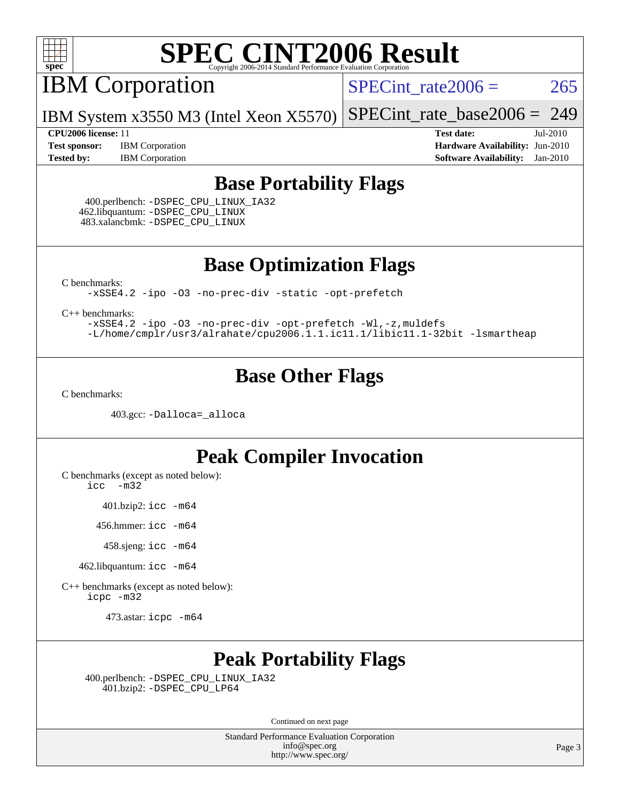

IBM Corporation

 $SPECTnt_rate2006 = 265$ 

IBM System x3550 M3 (Intel Xeon X5570) [SPECint\\_rate\\_base2006 =](http://www.spec.org/auto/cpu2006/Docs/result-fields.html#SPECintratebase2006) 249

**[Test sponsor:](http://www.spec.org/auto/cpu2006/Docs/result-fields.html#Testsponsor)** IBM Corporation **[Hardware Availability:](http://www.spec.org/auto/cpu2006/Docs/result-fields.html#HardwareAvailability)** Jun-2010 **[Tested by:](http://www.spec.org/auto/cpu2006/Docs/result-fields.html#Testedby)** IBM Corporation **[Software Availability:](http://www.spec.org/auto/cpu2006/Docs/result-fields.html#SoftwareAvailability)** Jan-2010

**[CPU2006 license:](http://www.spec.org/auto/cpu2006/Docs/result-fields.html#CPU2006license)** 11 **[Test date:](http://www.spec.org/auto/cpu2006/Docs/result-fields.html#Testdate)** Jul-2010

#### **[Base Portability Flags](http://www.spec.org/auto/cpu2006/Docs/result-fields.html#BasePortabilityFlags)**

 400.perlbench: [-DSPEC\\_CPU\\_LINUX\\_IA32](http://www.spec.org/cpu2006/results/res2010q3/cpu2006-20100719-12542.flags.html#b400.perlbench_baseCPORTABILITY_DSPEC_CPU_LINUX_IA32) 462.libquantum: [-DSPEC\\_CPU\\_LINUX](http://www.spec.org/cpu2006/results/res2010q3/cpu2006-20100719-12542.flags.html#b462.libquantum_baseCPORTABILITY_DSPEC_CPU_LINUX) 483.xalancbmk: [-DSPEC\\_CPU\\_LINUX](http://www.spec.org/cpu2006/results/res2010q3/cpu2006-20100719-12542.flags.html#b483.xalancbmk_baseCXXPORTABILITY_DSPEC_CPU_LINUX)

**[Base Optimization Flags](http://www.spec.org/auto/cpu2006/Docs/result-fields.html#BaseOptimizationFlags)**

[C benchmarks](http://www.spec.org/auto/cpu2006/Docs/result-fields.html#Cbenchmarks):

[-xSSE4.2](http://www.spec.org/cpu2006/results/res2010q3/cpu2006-20100719-12542.flags.html#user_CCbase_f-xSSE42_f91528193cf0b216347adb8b939d4107) [-ipo](http://www.spec.org/cpu2006/results/res2010q3/cpu2006-20100719-12542.flags.html#user_CCbase_f-ipo) [-O3](http://www.spec.org/cpu2006/results/res2010q3/cpu2006-20100719-12542.flags.html#user_CCbase_f-O3) [-no-prec-div](http://www.spec.org/cpu2006/results/res2010q3/cpu2006-20100719-12542.flags.html#user_CCbase_f-no-prec-div) [-static](http://www.spec.org/cpu2006/results/res2010q3/cpu2006-20100719-12542.flags.html#user_CCbase_f-static) [-opt-prefetch](http://www.spec.org/cpu2006/results/res2010q3/cpu2006-20100719-12542.flags.html#user_CCbase_f-opt-prefetch)

[C++ benchmarks:](http://www.spec.org/auto/cpu2006/Docs/result-fields.html#CXXbenchmarks)

[-xSSE4.2](http://www.spec.org/cpu2006/results/res2010q3/cpu2006-20100719-12542.flags.html#user_CXXbase_f-xSSE42_f91528193cf0b216347adb8b939d4107) [-ipo](http://www.spec.org/cpu2006/results/res2010q3/cpu2006-20100719-12542.flags.html#user_CXXbase_f-ipo) [-O3](http://www.spec.org/cpu2006/results/res2010q3/cpu2006-20100719-12542.flags.html#user_CXXbase_f-O3) [-no-prec-div](http://www.spec.org/cpu2006/results/res2010q3/cpu2006-20100719-12542.flags.html#user_CXXbase_f-no-prec-div) [-opt-prefetch](http://www.spec.org/cpu2006/results/res2010q3/cpu2006-20100719-12542.flags.html#user_CXXbase_f-opt-prefetch) [-Wl,-z,muldefs](http://www.spec.org/cpu2006/results/res2010q3/cpu2006-20100719-12542.flags.html#user_CXXbase_link_force_multiple1_74079c344b956b9658436fd1b6dd3a8a) [-L/home/cmplr/usr3/alrahate/cpu2006.1.1.ic11.1/libic11.1-32bit -lsmartheap](http://www.spec.org/cpu2006/results/res2010q3/cpu2006-20100719-12542.flags.html#user_CXXbase_SmartHeap_d86dffe4a79b79ef8890d5cce17030c3)

### **[Base Other Flags](http://www.spec.org/auto/cpu2006/Docs/result-fields.html#BaseOtherFlags)**

[C benchmarks](http://www.spec.org/auto/cpu2006/Docs/result-fields.html#Cbenchmarks):

403.gcc: [-Dalloca=\\_alloca](http://www.spec.org/cpu2006/results/res2010q3/cpu2006-20100719-12542.flags.html#b403.gcc_baseEXTRA_CFLAGS_Dalloca_be3056838c12de2578596ca5467af7f3)

### **[Peak Compiler Invocation](http://www.spec.org/auto/cpu2006/Docs/result-fields.html#PeakCompilerInvocation)**

[C benchmarks \(except as noted below\)](http://www.spec.org/auto/cpu2006/Docs/result-fields.html#Cbenchmarksexceptasnotedbelow):

[icc -m32](http://www.spec.org/cpu2006/results/res2010q3/cpu2006-20100719-12542.flags.html#user_CCpeak_intel_icc_32bit_5ff4a39e364c98233615fdd38438c6f2)

401.bzip2: [icc -m64](http://www.spec.org/cpu2006/results/res2010q3/cpu2006-20100719-12542.flags.html#user_peakCCLD401_bzip2_intel_icc_64bit_bda6cc9af1fdbb0edc3795bac97ada53)

456.hmmer: [icc -m64](http://www.spec.org/cpu2006/results/res2010q3/cpu2006-20100719-12542.flags.html#user_peakCCLD456_hmmer_intel_icc_64bit_bda6cc9af1fdbb0edc3795bac97ada53)

458.sjeng: [icc -m64](http://www.spec.org/cpu2006/results/res2010q3/cpu2006-20100719-12542.flags.html#user_peakCCLD458_sjeng_intel_icc_64bit_bda6cc9af1fdbb0edc3795bac97ada53)

462.libquantum: [icc -m64](http://www.spec.org/cpu2006/results/res2010q3/cpu2006-20100719-12542.flags.html#user_peakCCLD462_libquantum_intel_icc_64bit_bda6cc9af1fdbb0edc3795bac97ada53)

[C++ benchmarks \(except as noted below\):](http://www.spec.org/auto/cpu2006/Docs/result-fields.html#CXXbenchmarksexceptasnotedbelow) [icpc -m32](http://www.spec.org/cpu2006/results/res2010q3/cpu2006-20100719-12542.flags.html#user_CXXpeak_intel_icpc_32bit_4e5a5ef1a53fd332b3c49e69c3330699)

473.astar: [icpc -m64](http://www.spec.org/cpu2006/results/res2010q3/cpu2006-20100719-12542.flags.html#user_peakCXXLD473_astar_intel_icpc_64bit_fc66a5337ce925472a5c54ad6a0de310)

## **[Peak Portability Flags](http://www.spec.org/auto/cpu2006/Docs/result-fields.html#PeakPortabilityFlags)**

 400.perlbench: [-DSPEC\\_CPU\\_LINUX\\_IA32](http://www.spec.org/cpu2006/results/res2010q3/cpu2006-20100719-12542.flags.html#b400.perlbench_peakCPORTABILITY_DSPEC_CPU_LINUX_IA32) 401.bzip2: [-DSPEC\\_CPU\\_LP64](http://www.spec.org/cpu2006/results/res2010q3/cpu2006-20100719-12542.flags.html#suite_peakCPORTABILITY401_bzip2_DSPEC_CPU_LP64)

Continued on next page

Standard Performance Evaluation Corporation [info@spec.org](mailto:info@spec.org) <http://www.spec.org/>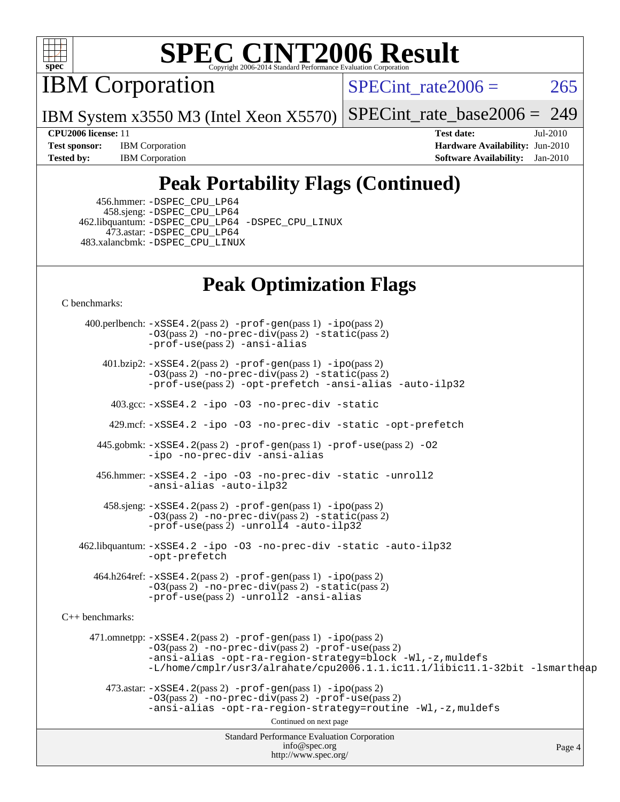

IBM Corporation

SPECint rate $2006 = 265$ 

IBM System x3550 M3 (Intel Xeon X5570) [SPECint\\_rate\\_base2006 =](http://www.spec.org/auto/cpu2006/Docs/result-fields.html#SPECintratebase2006) 249

**[Test sponsor:](http://www.spec.org/auto/cpu2006/Docs/result-fields.html#Testsponsor)** IBM Corporation **[Hardware Availability:](http://www.spec.org/auto/cpu2006/Docs/result-fields.html#HardwareAvailability)** Jun-2010 **[Tested by:](http://www.spec.org/auto/cpu2006/Docs/result-fields.html#Testedby)** IBM Corporation **[Software Availability:](http://www.spec.org/auto/cpu2006/Docs/result-fields.html#SoftwareAvailability)** Jan-2010

**[CPU2006 license:](http://www.spec.org/auto/cpu2006/Docs/result-fields.html#CPU2006license)** 11 **[Test date:](http://www.spec.org/auto/cpu2006/Docs/result-fields.html#Testdate)** Jul-2010

## **[Peak Portability Flags \(Continued\)](http://www.spec.org/auto/cpu2006/Docs/result-fields.html#PeakPortabilityFlags)**

 456.hmmer: [-DSPEC\\_CPU\\_LP64](http://www.spec.org/cpu2006/results/res2010q3/cpu2006-20100719-12542.flags.html#suite_peakCPORTABILITY456_hmmer_DSPEC_CPU_LP64) 458.sjeng: [-DSPEC\\_CPU\\_LP64](http://www.spec.org/cpu2006/results/res2010q3/cpu2006-20100719-12542.flags.html#suite_peakCPORTABILITY458_sjeng_DSPEC_CPU_LP64) 462.libquantum: [-DSPEC\\_CPU\\_LP64](http://www.spec.org/cpu2006/results/res2010q3/cpu2006-20100719-12542.flags.html#suite_peakCPORTABILITY462_libquantum_DSPEC_CPU_LP64) [-DSPEC\\_CPU\\_LINUX](http://www.spec.org/cpu2006/results/res2010q3/cpu2006-20100719-12542.flags.html#b462.libquantum_peakCPORTABILITY_DSPEC_CPU_LINUX) 473.astar: [-DSPEC\\_CPU\\_LP64](http://www.spec.org/cpu2006/results/res2010q3/cpu2006-20100719-12542.flags.html#suite_peakCXXPORTABILITY473_astar_DSPEC_CPU_LP64) 483.xalancbmk: [-DSPEC\\_CPU\\_LINUX](http://www.spec.org/cpu2006/results/res2010q3/cpu2006-20100719-12542.flags.html#b483.xalancbmk_peakCXXPORTABILITY_DSPEC_CPU_LINUX)

## **[Peak Optimization Flags](http://www.spec.org/auto/cpu2006/Docs/result-fields.html#PeakOptimizationFlags)**

[C benchmarks](http://www.spec.org/auto/cpu2006/Docs/result-fields.html#Cbenchmarks):

Standard Performance Evaluation Corporation [info@spec.org](mailto:info@spec.org) <http://www.spec.org/> Page 4 400.perlbench: [-xSSE4.2](http://www.spec.org/cpu2006/results/res2010q3/cpu2006-20100719-12542.flags.html#user_peakPASS2_CFLAGSPASS2_LDCFLAGS400_perlbench_f-xSSE42_f91528193cf0b216347adb8b939d4107)(pass 2) [-prof-gen](http://www.spec.org/cpu2006/results/res2010q3/cpu2006-20100719-12542.flags.html#user_peakPASS1_CFLAGSPASS1_LDCFLAGS400_perlbench_prof_gen_e43856698f6ca7b7e442dfd80e94a8fc)(pass 1) [-ipo](http://www.spec.org/cpu2006/results/res2010q3/cpu2006-20100719-12542.flags.html#user_peakPASS2_CFLAGSPASS2_LDCFLAGS400_perlbench_f-ipo)(pass 2) [-O3](http://www.spec.org/cpu2006/results/res2010q3/cpu2006-20100719-12542.flags.html#user_peakPASS2_CFLAGSPASS2_LDCFLAGS400_perlbench_f-O3)(pass 2) [-no-prec-div](http://www.spec.org/cpu2006/results/res2010q3/cpu2006-20100719-12542.flags.html#user_peakPASS2_CFLAGSPASS2_LDCFLAGS400_perlbench_f-no-prec-div)(pass 2) [-static](http://www.spec.org/cpu2006/results/res2010q3/cpu2006-20100719-12542.flags.html#user_peakPASS2_CFLAGSPASS2_LDCFLAGS400_perlbench_f-static)(pass 2) [-prof-use](http://www.spec.org/cpu2006/results/res2010q3/cpu2006-20100719-12542.flags.html#user_peakPASS2_CFLAGSPASS2_LDCFLAGS400_perlbench_prof_use_bccf7792157ff70d64e32fe3e1250b55)(pass 2) [-ansi-alias](http://www.spec.org/cpu2006/results/res2010q3/cpu2006-20100719-12542.flags.html#user_peakCOPTIMIZE400_perlbench_f-ansi-alias) 401.bzip2: [-xSSE4.2](http://www.spec.org/cpu2006/results/res2010q3/cpu2006-20100719-12542.flags.html#user_peakPASS2_CFLAGSPASS2_LDCFLAGS401_bzip2_f-xSSE42_f91528193cf0b216347adb8b939d4107)(pass 2) [-prof-gen](http://www.spec.org/cpu2006/results/res2010q3/cpu2006-20100719-12542.flags.html#user_peakPASS1_CFLAGSPASS1_LDCFLAGS401_bzip2_prof_gen_e43856698f6ca7b7e442dfd80e94a8fc)(pass 1) [-ipo](http://www.spec.org/cpu2006/results/res2010q3/cpu2006-20100719-12542.flags.html#user_peakPASS2_CFLAGSPASS2_LDCFLAGS401_bzip2_f-ipo)(pass 2) [-O3](http://www.spec.org/cpu2006/results/res2010q3/cpu2006-20100719-12542.flags.html#user_peakPASS2_CFLAGSPASS2_LDCFLAGS401_bzip2_f-O3)(pass 2) [-no-prec-div](http://www.spec.org/cpu2006/results/res2010q3/cpu2006-20100719-12542.flags.html#user_peakPASS2_CFLAGSPASS2_LDCFLAGS401_bzip2_f-no-prec-div)(pass 2) [-static](http://www.spec.org/cpu2006/results/res2010q3/cpu2006-20100719-12542.flags.html#user_peakPASS2_CFLAGSPASS2_LDCFLAGS401_bzip2_f-static)(pass 2) [-prof-use](http://www.spec.org/cpu2006/results/res2010q3/cpu2006-20100719-12542.flags.html#user_peakPASS2_CFLAGSPASS2_LDCFLAGS401_bzip2_prof_use_bccf7792157ff70d64e32fe3e1250b55)(pass 2) [-opt-prefetch](http://www.spec.org/cpu2006/results/res2010q3/cpu2006-20100719-12542.flags.html#user_peakCOPTIMIZE401_bzip2_f-opt-prefetch) [-ansi-alias](http://www.spec.org/cpu2006/results/res2010q3/cpu2006-20100719-12542.flags.html#user_peakCOPTIMIZE401_bzip2_f-ansi-alias) [-auto-ilp32](http://www.spec.org/cpu2006/results/res2010q3/cpu2006-20100719-12542.flags.html#user_peakCOPTIMIZE401_bzip2_f-auto-ilp32) 403.gcc: [-xSSE4.2](http://www.spec.org/cpu2006/results/res2010q3/cpu2006-20100719-12542.flags.html#user_peakCOPTIMIZE403_gcc_f-xSSE42_f91528193cf0b216347adb8b939d4107) [-ipo](http://www.spec.org/cpu2006/results/res2010q3/cpu2006-20100719-12542.flags.html#user_peakCOPTIMIZE403_gcc_f-ipo) [-O3](http://www.spec.org/cpu2006/results/res2010q3/cpu2006-20100719-12542.flags.html#user_peakCOPTIMIZE403_gcc_f-O3) [-no-prec-div](http://www.spec.org/cpu2006/results/res2010q3/cpu2006-20100719-12542.flags.html#user_peakCOPTIMIZE403_gcc_f-no-prec-div) [-static](http://www.spec.org/cpu2006/results/res2010q3/cpu2006-20100719-12542.flags.html#user_peakCOPTIMIZE403_gcc_f-static) 429.mcf: [-xSSE4.2](http://www.spec.org/cpu2006/results/res2010q3/cpu2006-20100719-12542.flags.html#user_peakCOPTIMIZE429_mcf_f-xSSE42_f91528193cf0b216347adb8b939d4107) [-ipo](http://www.spec.org/cpu2006/results/res2010q3/cpu2006-20100719-12542.flags.html#user_peakCOPTIMIZE429_mcf_f-ipo) [-O3](http://www.spec.org/cpu2006/results/res2010q3/cpu2006-20100719-12542.flags.html#user_peakCOPTIMIZE429_mcf_f-O3) [-no-prec-div](http://www.spec.org/cpu2006/results/res2010q3/cpu2006-20100719-12542.flags.html#user_peakCOPTIMIZE429_mcf_f-no-prec-div) [-static](http://www.spec.org/cpu2006/results/res2010q3/cpu2006-20100719-12542.flags.html#user_peakCOPTIMIZE429_mcf_f-static) [-opt-prefetch](http://www.spec.org/cpu2006/results/res2010q3/cpu2006-20100719-12542.flags.html#user_peakCOPTIMIZE429_mcf_f-opt-prefetch) 445.gobmk: [-xSSE4.2](http://www.spec.org/cpu2006/results/res2010q3/cpu2006-20100719-12542.flags.html#user_peakPASS2_CFLAGSPASS2_LDCFLAGS445_gobmk_f-xSSE42_f91528193cf0b216347adb8b939d4107)(pass 2) [-prof-gen](http://www.spec.org/cpu2006/results/res2010q3/cpu2006-20100719-12542.flags.html#user_peakPASS1_CFLAGSPASS1_LDCFLAGS445_gobmk_prof_gen_e43856698f6ca7b7e442dfd80e94a8fc)(pass 1) [-prof-use](http://www.spec.org/cpu2006/results/res2010q3/cpu2006-20100719-12542.flags.html#user_peakPASS2_CFLAGSPASS2_LDCFLAGS445_gobmk_prof_use_bccf7792157ff70d64e32fe3e1250b55)(pass 2) [-O2](http://www.spec.org/cpu2006/results/res2010q3/cpu2006-20100719-12542.flags.html#user_peakCOPTIMIZE445_gobmk_f-O2) [-ipo](http://www.spec.org/cpu2006/results/res2010q3/cpu2006-20100719-12542.flags.html#user_peakCOPTIMIZE445_gobmk_f-ipo) [-no-prec-div](http://www.spec.org/cpu2006/results/res2010q3/cpu2006-20100719-12542.flags.html#user_peakCOPTIMIZE445_gobmk_f-no-prec-div) [-ansi-alias](http://www.spec.org/cpu2006/results/res2010q3/cpu2006-20100719-12542.flags.html#user_peakCOPTIMIZE445_gobmk_f-ansi-alias) 456.hmmer: [-xSSE4.2](http://www.spec.org/cpu2006/results/res2010q3/cpu2006-20100719-12542.flags.html#user_peakCOPTIMIZE456_hmmer_f-xSSE42_f91528193cf0b216347adb8b939d4107) [-ipo](http://www.spec.org/cpu2006/results/res2010q3/cpu2006-20100719-12542.flags.html#user_peakCOPTIMIZE456_hmmer_f-ipo) [-O3](http://www.spec.org/cpu2006/results/res2010q3/cpu2006-20100719-12542.flags.html#user_peakCOPTIMIZE456_hmmer_f-O3) [-no-prec-div](http://www.spec.org/cpu2006/results/res2010q3/cpu2006-20100719-12542.flags.html#user_peakCOPTIMIZE456_hmmer_f-no-prec-div) [-static](http://www.spec.org/cpu2006/results/res2010q3/cpu2006-20100719-12542.flags.html#user_peakCOPTIMIZE456_hmmer_f-static) [-unroll2](http://www.spec.org/cpu2006/results/res2010q3/cpu2006-20100719-12542.flags.html#user_peakCOPTIMIZE456_hmmer_f-unroll_784dae83bebfb236979b41d2422d7ec2) [-ansi-alias](http://www.spec.org/cpu2006/results/res2010q3/cpu2006-20100719-12542.flags.html#user_peakCOPTIMIZE456_hmmer_f-ansi-alias) [-auto-ilp32](http://www.spec.org/cpu2006/results/res2010q3/cpu2006-20100719-12542.flags.html#user_peakCOPTIMIZE456_hmmer_f-auto-ilp32) 458.sjeng: [-xSSE4.2](http://www.spec.org/cpu2006/results/res2010q3/cpu2006-20100719-12542.flags.html#user_peakPASS2_CFLAGSPASS2_LDCFLAGS458_sjeng_f-xSSE42_f91528193cf0b216347adb8b939d4107)(pass 2) [-prof-gen](http://www.spec.org/cpu2006/results/res2010q3/cpu2006-20100719-12542.flags.html#user_peakPASS1_CFLAGSPASS1_LDCFLAGS458_sjeng_prof_gen_e43856698f6ca7b7e442dfd80e94a8fc)(pass 1) [-ipo](http://www.spec.org/cpu2006/results/res2010q3/cpu2006-20100719-12542.flags.html#user_peakPASS2_CFLAGSPASS2_LDCFLAGS458_sjeng_f-ipo)(pass 2) [-O3](http://www.spec.org/cpu2006/results/res2010q3/cpu2006-20100719-12542.flags.html#user_peakPASS2_CFLAGSPASS2_LDCFLAGS458_sjeng_f-O3)(pass 2) [-no-prec-div](http://www.spec.org/cpu2006/results/res2010q3/cpu2006-20100719-12542.flags.html#user_peakPASS2_CFLAGSPASS2_LDCFLAGS458_sjeng_f-no-prec-div)(pass 2) [-static](http://www.spec.org/cpu2006/results/res2010q3/cpu2006-20100719-12542.flags.html#user_peakPASS2_CFLAGSPASS2_LDCFLAGS458_sjeng_f-static)(pass 2) [-prof-use](http://www.spec.org/cpu2006/results/res2010q3/cpu2006-20100719-12542.flags.html#user_peakPASS2_CFLAGSPASS2_LDCFLAGS458_sjeng_prof_use_bccf7792157ff70d64e32fe3e1250b55)(pass 2) [-unroll4](http://www.spec.org/cpu2006/results/res2010q3/cpu2006-20100719-12542.flags.html#user_peakCOPTIMIZE458_sjeng_f-unroll_4e5e4ed65b7fd20bdcd365bec371b81f) [-auto-ilp32](http://www.spec.org/cpu2006/results/res2010q3/cpu2006-20100719-12542.flags.html#user_peakCOPTIMIZE458_sjeng_f-auto-ilp32) 462.libquantum: [-xSSE4.2](http://www.spec.org/cpu2006/results/res2010q3/cpu2006-20100719-12542.flags.html#user_peakCOPTIMIZE462_libquantum_f-xSSE42_f91528193cf0b216347adb8b939d4107) [-ipo](http://www.spec.org/cpu2006/results/res2010q3/cpu2006-20100719-12542.flags.html#user_peakCOPTIMIZE462_libquantum_f-ipo) [-O3](http://www.spec.org/cpu2006/results/res2010q3/cpu2006-20100719-12542.flags.html#user_peakCOPTIMIZE462_libquantum_f-O3) [-no-prec-div](http://www.spec.org/cpu2006/results/res2010q3/cpu2006-20100719-12542.flags.html#user_peakCOPTIMIZE462_libquantum_f-no-prec-div) [-static](http://www.spec.org/cpu2006/results/res2010q3/cpu2006-20100719-12542.flags.html#user_peakCOPTIMIZE462_libquantum_f-static) [-auto-ilp32](http://www.spec.org/cpu2006/results/res2010q3/cpu2006-20100719-12542.flags.html#user_peakCOPTIMIZE462_libquantum_f-auto-ilp32) [-opt-prefetch](http://www.spec.org/cpu2006/results/res2010q3/cpu2006-20100719-12542.flags.html#user_peakCOPTIMIZE462_libquantum_f-opt-prefetch) 464.h264ref: [-xSSE4.2](http://www.spec.org/cpu2006/results/res2010q3/cpu2006-20100719-12542.flags.html#user_peakPASS2_CFLAGSPASS2_LDCFLAGS464_h264ref_f-xSSE42_f91528193cf0b216347adb8b939d4107)(pass 2) [-prof-gen](http://www.spec.org/cpu2006/results/res2010q3/cpu2006-20100719-12542.flags.html#user_peakPASS1_CFLAGSPASS1_LDCFLAGS464_h264ref_prof_gen_e43856698f6ca7b7e442dfd80e94a8fc)(pass 1) [-ipo](http://www.spec.org/cpu2006/results/res2010q3/cpu2006-20100719-12542.flags.html#user_peakPASS2_CFLAGSPASS2_LDCFLAGS464_h264ref_f-ipo)(pass 2) [-O3](http://www.spec.org/cpu2006/results/res2010q3/cpu2006-20100719-12542.flags.html#user_peakPASS2_CFLAGSPASS2_LDCFLAGS464_h264ref_f-O3)(pass 2) [-no-prec-div](http://www.spec.org/cpu2006/results/res2010q3/cpu2006-20100719-12542.flags.html#user_peakPASS2_CFLAGSPASS2_LDCFLAGS464_h264ref_f-no-prec-div)(pass 2) [-static](http://www.spec.org/cpu2006/results/res2010q3/cpu2006-20100719-12542.flags.html#user_peakPASS2_CFLAGSPASS2_LDCFLAGS464_h264ref_f-static)(pass 2) [-prof-use](http://www.spec.org/cpu2006/results/res2010q3/cpu2006-20100719-12542.flags.html#user_peakPASS2_CFLAGSPASS2_LDCFLAGS464_h264ref_prof_use_bccf7792157ff70d64e32fe3e1250b55)(pass 2) [-unroll2](http://www.spec.org/cpu2006/results/res2010q3/cpu2006-20100719-12542.flags.html#user_peakCOPTIMIZE464_h264ref_f-unroll_784dae83bebfb236979b41d2422d7ec2) [-ansi-alias](http://www.spec.org/cpu2006/results/res2010q3/cpu2006-20100719-12542.flags.html#user_peakCOPTIMIZE464_h264ref_f-ansi-alias) [C++ benchmarks:](http://www.spec.org/auto/cpu2006/Docs/result-fields.html#CXXbenchmarks) 471.omnetpp: [-xSSE4.2](http://www.spec.org/cpu2006/results/res2010q3/cpu2006-20100719-12542.flags.html#user_peakPASS2_CXXFLAGSPASS2_LDCXXFLAGS471_omnetpp_f-xSSE42_f91528193cf0b216347adb8b939d4107)(pass 2) [-prof-gen](http://www.spec.org/cpu2006/results/res2010q3/cpu2006-20100719-12542.flags.html#user_peakPASS1_CXXFLAGSPASS1_LDCXXFLAGS471_omnetpp_prof_gen_e43856698f6ca7b7e442dfd80e94a8fc)(pass 1) [-ipo](http://www.spec.org/cpu2006/results/res2010q3/cpu2006-20100719-12542.flags.html#user_peakPASS2_CXXFLAGSPASS2_LDCXXFLAGS471_omnetpp_f-ipo)(pass 2) [-O3](http://www.spec.org/cpu2006/results/res2010q3/cpu2006-20100719-12542.flags.html#user_peakPASS2_CXXFLAGSPASS2_LDCXXFLAGS471_omnetpp_f-O3)(pass 2) [-no-prec-div](http://www.spec.org/cpu2006/results/res2010q3/cpu2006-20100719-12542.flags.html#user_peakPASS2_CXXFLAGSPASS2_LDCXXFLAGS471_omnetpp_f-no-prec-div)(pass 2) [-prof-use](http://www.spec.org/cpu2006/results/res2010q3/cpu2006-20100719-12542.flags.html#user_peakPASS2_CXXFLAGSPASS2_LDCXXFLAGS471_omnetpp_prof_use_bccf7792157ff70d64e32fe3e1250b55)(pass 2) [-ansi-alias](http://www.spec.org/cpu2006/results/res2010q3/cpu2006-20100719-12542.flags.html#user_peakCXXOPTIMIZE471_omnetpp_f-ansi-alias) [-opt-ra-region-strategy=block](http://www.spec.org/cpu2006/results/res2010q3/cpu2006-20100719-12542.flags.html#user_peakCXXOPTIMIZE471_omnetpp_f-opt-ra-region-strategy-block_a0a37c372d03933b2a18d4af463c1f69) [-Wl,-z,muldefs](http://www.spec.org/cpu2006/results/res2010q3/cpu2006-20100719-12542.flags.html#user_peakEXTRA_LDFLAGS471_omnetpp_link_force_multiple1_74079c344b956b9658436fd1b6dd3a8a) [-L/home/cmplr/usr3/alrahate/cpu2006.1.1.ic11.1/libic11.1-32bit -lsmartheap](http://www.spec.org/cpu2006/results/res2010q3/cpu2006-20100719-12542.flags.html#user_peakEXTRA_LIBS471_omnetpp_SmartHeap_d86dffe4a79b79ef8890d5cce17030c3)  $473.\text{astar: } -xSSE4$ .  $2(\text{pass 2})$   $-\text{prof-gen}(\text{pass 1})$   $-i\text{po}(\text{pass 2})$ [-O3](http://www.spec.org/cpu2006/results/res2010q3/cpu2006-20100719-12542.flags.html#user_peakPASS2_CXXFLAGSPASS2_LDCXXFLAGS473_astar_f-O3)(pass 2) [-no-prec-div](http://www.spec.org/cpu2006/results/res2010q3/cpu2006-20100719-12542.flags.html#user_peakPASS2_CXXFLAGSPASS2_LDCXXFLAGS473_astar_f-no-prec-div)(pass 2) [-prof-use](http://www.spec.org/cpu2006/results/res2010q3/cpu2006-20100719-12542.flags.html#user_peakPASS2_CXXFLAGSPASS2_LDCXXFLAGS473_astar_prof_use_bccf7792157ff70d64e32fe3e1250b55)(pass 2) [-ansi-alias](http://www.spec.org/cpu2006/results/res2010q3/cpu2006-20100719-12542.flags.html#user_peakCXXOPTIMIZE473_astar_f-ansi-alias) [-opt-ra-region-strategy=routine](http://www.spec.org/cpu2006/results/res2010q3/cpu2006-20100719-12542.flags.html#user_peakCXXOPTIMIZE473_astar_f-opt-ra-region-strategy-routine_ba086ea3b1d46a52e1238e2ca173ed44) [-Wl,-z,muldefs](http://www.spec.org/cpu2006/results/res2010q3/cpu2006-20100719-12542.flags.html#user_peakEXTRA_LDFLAGS473_astar_link_force_multiple1_74079c344b956b9658436fd1b6dd3a8a) Continued on next page